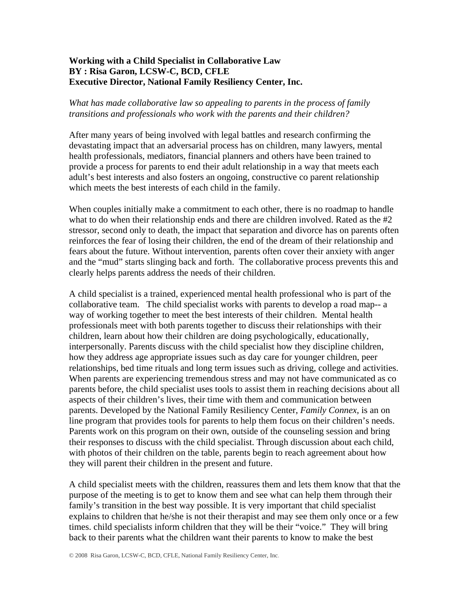## **Working with a Child Specialist in Collaborative Law BY : Risa Garon, LCSW-C, BCD, CFLE Executive Director, National Family Resiliency Center, Inc.**

## *What has made collaborative law so appealing to parents in the process of family transitions and professionals who work with the parents and their children?*

After many years of being involved with legal battles and research confirming the devastating impact that an adversarial process has on children, many lawyers, mental health professionals, mediators, financial planners and others have been trained to provide a process for parents to end their adult relationship in a way that meets each adult's best interests and also fosters an ongoing, constructive co parent relationship which meets the best interests of each child in the family.

When couples initially make a commitment to each other, there is no roadmap to handle what to do when their relationship ends and there are children involved. Rated as the #2 stressor, second only to death, the impact that separation and divorce has on parents often reinforces the fear of losing their children, the end of the dream of their relationship and fears about the future. Without intervention, parents often cover their anxiety with anger and the "mud" starts slinging back and forth. The collaborative process prevents this and clearly helps parents address the needs of their children.

A child specialist is a trained, experienced mental health professional who is part of the collaborative team. The child specialist works with parents to develop a road map-- a way of working together to meet the best interests of their children. Mental health professionals meet with both parents together to discuss their relationships with their children, learn about how their children are doing psychologically, educationally, interpersonally. Parents discuss with the child specialist how they discipline children, how they address age appropriate issues such as day care for younger children, peer relationships, bed time rituals and long term issues such as driving, college and activities. When parents are experiencing tremendous stress and may not have communicated as co parents before, the child specialist uses tools to assist them in reaching decisions about all aspects of their children's lives, their time with them and communication between parents. Developed by the National Family Resiliency Center, *Family Connex,* is an on line program that provides tools for parents to help them focus on their children's needs. Parents work on this program on their own, outside of the counseling session and bring their responses to discuss with the child specialist. Through discussion about each child, with photos of their children on the table, parents begin to reach agreement about how they will parent their children in the present and future.

A child specialist meets with the children, reassures them and lets them know that that the purpose of the meeting is to get to know them and see what can help them through their family's transition in the best way possible. It is very important that child specialist explains to children that he/she is not their therapist and may see them only once or a few times. child specialist*s* inform children that they will be their "voice." They will bring back to their parents what the children want their parents to know to make the best